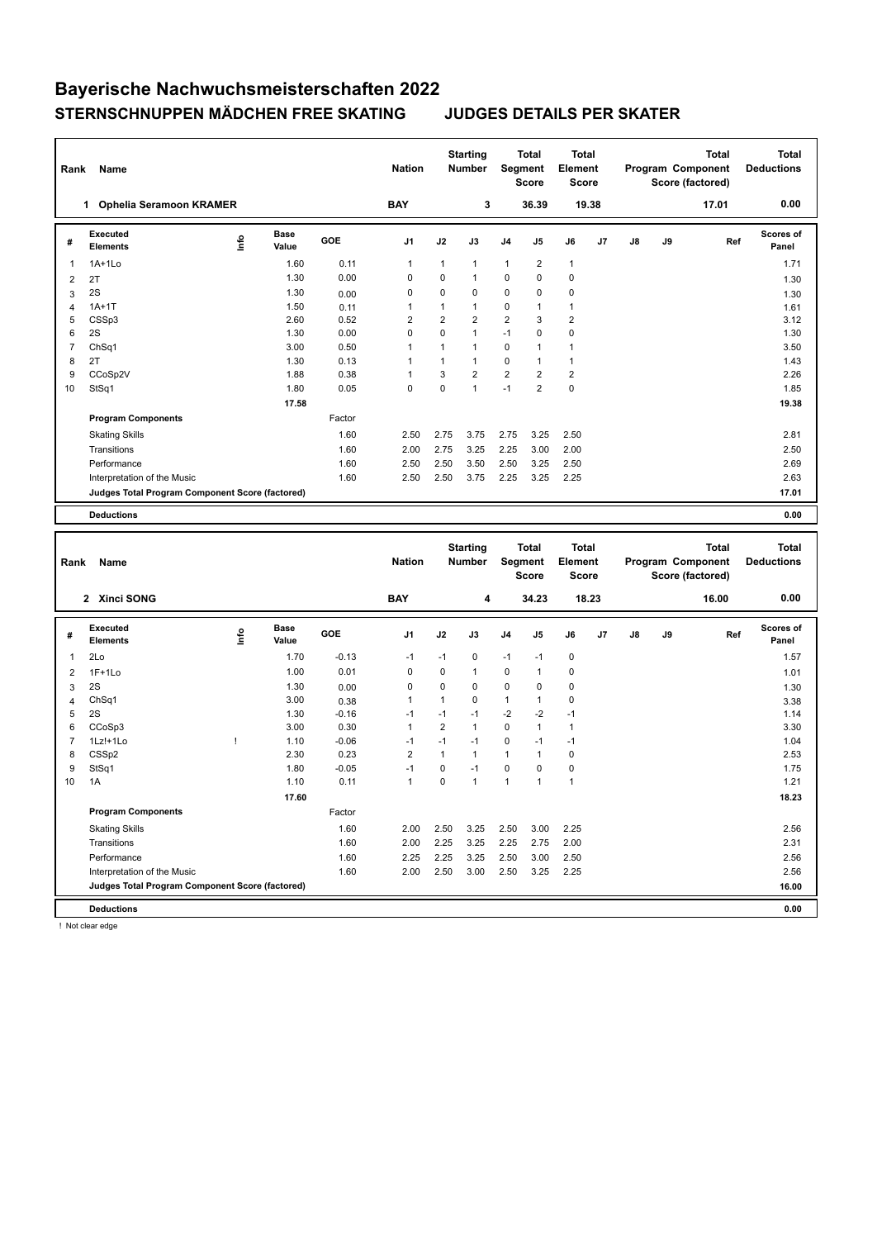| Rank           | Name                                            |      |                      |         | <b>Nation</b>  |                | <b>Starting</b><br><b>Number</b> |                | Total<br>Segment<br>Score | <b>Total</b><br>Element<br>Score |       |    |    | Program Component<br>Score (factored) | Total        | <b>Total</b><br><b>Deductions</b> |
|----------------|-------------------------------------------------|------|----------------------|---------|----------------|----------------|----------------------------------|----------------|---------------------------|----------------------------------|-------|----|----|---------------------------------------|--------------|-----------------------------------|
|                | 1 Ophelia Seramoon KRAMER                       |      |                      |         | <b>BAY</b>     |                | 3                                |                | 36.39                     |                                  | 19.38 |    |    | 17.01                                 |              | 0.00                              |
| #              | <b>Executed</b><br><b>Elements</b>              | Info | <b>Base</b><br>Value | GOE     | J <sub>1</sub> | J2             | J3                               | J4             | J5                        | J6                               | J7    | J8 | J9 |                                       | Ref          | Scores of<br>Panel                |
| 1              | $1A+1Lo$                                        |      | 1.60                 | 0.11    | 1              | $\mathbf{1}$   | $\mathbf{1}$                     | 1              | 2                         | $\mathbf{1}$                     |       |    |    |                                       |              | 1.71                              |
| 2              | 2T                                              |      | 1.30                 | 0.00    | 0              | 0              | $\mathbf{1}$                     | 0              | 0                         | $\pmb{0}$                        |       |    |    |                                       |              | 1.30                              |
| 3              | 2S                                              |      | 1.30                 | 0.00    | 0              | 0              | $\mathbf 0$                      | 0              | 0                         | 0                                |       |    |    |                                       |              | 1.30                              |
| $\overline{4}$ | $1A+1T$                                         |      | 1.50                 | 0.11    | 1              | $\mathbf{1}$   | $\mathbf{1}$                     | 0              | 1                         | $\mathbf{1}$                     |       |    |    |                                       |              | 1.61                              |
| 5              | CSSp3                                           |      | 2.60                 | 0.52    | 2              | 2              | $\overline{2}$                   | $\overline{2}$ | 3                         | $\overline{\mathbf{c}}$          |       |    |    |                                       |              | 3.12                              |
| 6              | 2S                                              |      | 1.30                 | 0.00    | 0              | 0              | $\mathbf{1}$                     | $-1$           | 0                         | $\mathbf 0$                      |       |    |    |                                       |              | 1.30                              |
| $\overline{7}$ | Ch <sub>Sq1</sub>                               |      | 3.00                 | 0.50    | 1              | 1              | $\mathbf{1}$                     | $\mathbf 0$    | 1                         | $\mathbf{1}$                     |       |    |    |                                       |              | 3.50                              |
| 8              | 2T                                              |      | 1.30                 | 0.13    | 1              | $\mathbf{1}$   | $\mathbf{1}$                     | $\mathbf 0$    | 1                         | $\mathbf{1}$                     |       |    |    |                                       |              | 1.43                              |
| 9              | CCoSp2V                                         |      | 1.88                 | 0.38    | 1              | 3              | $\overline{2}$                   | $\overline{2}$ | 2                         | $\overline{\mathbf{c}}$          |       |    |    |                                       |              | 2.26                              |
| 10             | StSq1                                           |      | 1.80                 | 0.05    | 0              | 0              | $\mathbf{1}$                     | $-1$           | 2                         | 0                                |       |    |    |                                       |              | 1.85                              |
|                |                                                 |      | 17.58                |         |                |                |                                  |                |                           |                                  |       |    |    |                                       |              | 19.38                             |
|                | <b>Program Components</b>                       |      |                      | Factor  |                |                |                                  |                |                           |                                  |       |    |    |                                       |              |                                   |
|                | <b>Skating Skills</b>                           |      |                      | 1.60    | 2.50           | 2.75           | 3.75                             | 2.75           | 3.25                      | 2.50                             |       |    |    |                                       |              | 2.81                              |
|                | Transitions                                     |      |                      | 1.60    | 2.00           | 2.75           | 3.25                             | 2.25           | 3.00                      | 2.00                             |       |    |    |                                       |              | 2.50                              |
|                | Performance                                     |      |                      | 1.60    | 2.50           | 2.50           | 3.50                             | 2.50           | 3.25                      | 2.50                             |       |    |    |                                       |              | 2.69                              |
|                | Interpretation of the Music                     |      |                      | 1.60    | 2.50           | 2.50           | 3.75                             | 2.25           | 3.25                      | 2.25                             |       |    |    |                                       |              | 2.63                              |
|                | Judges Total Program Component Score (factored) |      |                      |         |                |                |                                  |                |                           |                                  |       |    |    |                                       |              | 17.01                             |
|                | <b>Deductions</b>                               |      |                      |         |                |                |                                  |                |                           |                                  |       |    |    |                                       |              | 0.00                              |
|                |                                                 |      |                      |         |                |                |                                  |                |                           |                                  |       |    |    |                                       |              |                                   |
|                |                                                 |      |                      |         |                |                |                                  |                |                           |                                  |       |    |    |                                       |              |                                   |
|                |                                                 |      |                      |         |                |                |                                  |                |                           |                                  |       |    |    |                                       |              |                                   |
|                |                                                 |      |                      |         |                |                | <b>Starting</b>                  |                | Total                     | <b>Total</b>                     |       |    |    |                                       | <b>Total</b> | <b>Total</b>                      |
| Rank           | Name                                            |      |                      |         | <b>Nation</b>  |                | Number                           | Segment        | <b>Score</b>              | Element<br><b>Score</b>          |       |    |    | Program Component<br>Score (factored) |              | <b>Deductions</b>                 |
|                |                                                 |      |                      |         |                |                |                                  |                |                           |                                  |       |    |    |                                       |              |                                   |
|                | 2 Xinci SONG                                    |      |                      |         | <b>BAY</b>     |                | 4                                |                | 34.23                     |                                  | 18.23 |    |    | 16.00                                 |              | 0.00                              |
| #              | <b>Executed</b><br><b>Elements</b>              | Info | Base<br>Value        | GOE     | J1             | J2             | J3                               | J4             | J5                        | J6                               | J7    | J8 | J9 |                                       | Ref          | Scores of<br>Panel                |
| 1              | 2Lo                                             |      | 1.70                 | $-0.13$ | $-1$           | $-1$           | 0                                | $-1$           | $-1$                      | 0                                |       |    |    |                                       |              | 1.57                              |
| 2              | $1F+1Lo$                                        |      | 1.00                 | 0.01    | 0              | 0              | $\mathbf{1}$                     | 0              | 1                         | 0                                |       |    |    |                                       |              | 1.01                              |
| 3              | 2S                                              |      | 1.30                 | 0.00    | 0              | 0              | $\mathbf 0$                      | 0              | 0                         | 0                                |       |    |    |                                       |              |                                   |
| $\overline{4}$ | Ch <sub>Sq1</sub>                               |      | 3.00                 | 0.38    | 1              | $\mathbf{1}$   | $\mathbf 0$                      | 1              | 1                         | 0                                |       |    |    |                                       |              | 1.30<br>3.38                      |
| 5              | 2S                                              |      | 1.30                 | $-0.16$ | $-1$           | $-1$           | $-1$                             | $-2$           | $-2$                      | $-1$                             |       |    |    |                                       |              | 1.14                              |
| 6              | CCoSp3                                          |      | 3.00                 | 0.30    | $\mathbf{1}$   | $\overline{2}$ | $\mathbf{1}$                     | $\mathbf 0$    | $\mathbf{1}$              | $\mathbf{1}$                     |       |    |    |                                       |              | 3.30                              |
| $\overline{7}$ | 1Lz!+1Lo                                        | Ţ    | 1.10                 | $-0.06$ | $-1$           | $-1$           | $-1$                             | $\mathbf 0$    | $-1$                      | $-1$                             |       |    |    |                                       |              | 1.04                              |
| 8              | CSSp2                                           |      | 2.30                 | 0.23    | 2              | $\mathbf{1}$   | $\mathbf{1}$                     | 1              | 1                         | 0                                |       |    |    |                                       |              | 2.53                              |
| 9              | StSq1                                           |      | 1.80                 | $-0.05$ | $-1$           | 0              | $-1$                             | 0              | 0                         | 0                                |       |    |    |                                       |              | 1.75                              |
| 10             | 1A                                              |      | 1.10                 | 0.11    | $\mathbf{1}$   | 0              | $\mathbf{1}$                     | $\mathbf{1}$   | $\mathbf{1}$              | $\mathbf{1}$                     |       |    |    |                                       |              | 1.21                              |
|                |                                                 |      | 17.60                |         |                |                |                                  |                |                           |                                  |       |    |    |                                       |              | 18.23                             |
|                | <b>Program Components</b>                       |      |                      | Factor  |                |                |                                  |                |                           |                                  |       |    |    |                                       |              |                                   |
|                | <b>Skating Skills</b>                           |      |                      | 1.60    | 2.00           | 2.50           | 3.25                             | 2.50           | 3.00                      | 2.25                             |       |    |    |                                       |              | 2.56                              |
|                | Transitions                                     |      |                      | 1.60    | 2.00           | 2.25           | 3.25                             | 2.25           | 2.75                      | 2.00                             |       |    |    |                                       |              | 2.31                              |
|                | Performance                                     |      |                      | 1.60    | 2.25           | 2.25           | 3.25                             | 2.50           | 3.00                      | 2.50                             |       |    |    |                                       |              | 2.56                              |
|                | Interpretation of the Music                     |      |                      | 1.60    | 2.00           | 2.50           | 3.00                             | 2.50           | 3.25                      | 2.25                             |       |    |    |                                       |              | 2.56                              |
|                | Judges Total Program Component Score (factored) |      |                      |         |                |                |                                  |                |                           |                                  |       |    |    |                                       |              | 16.00                             |

! Not clear edge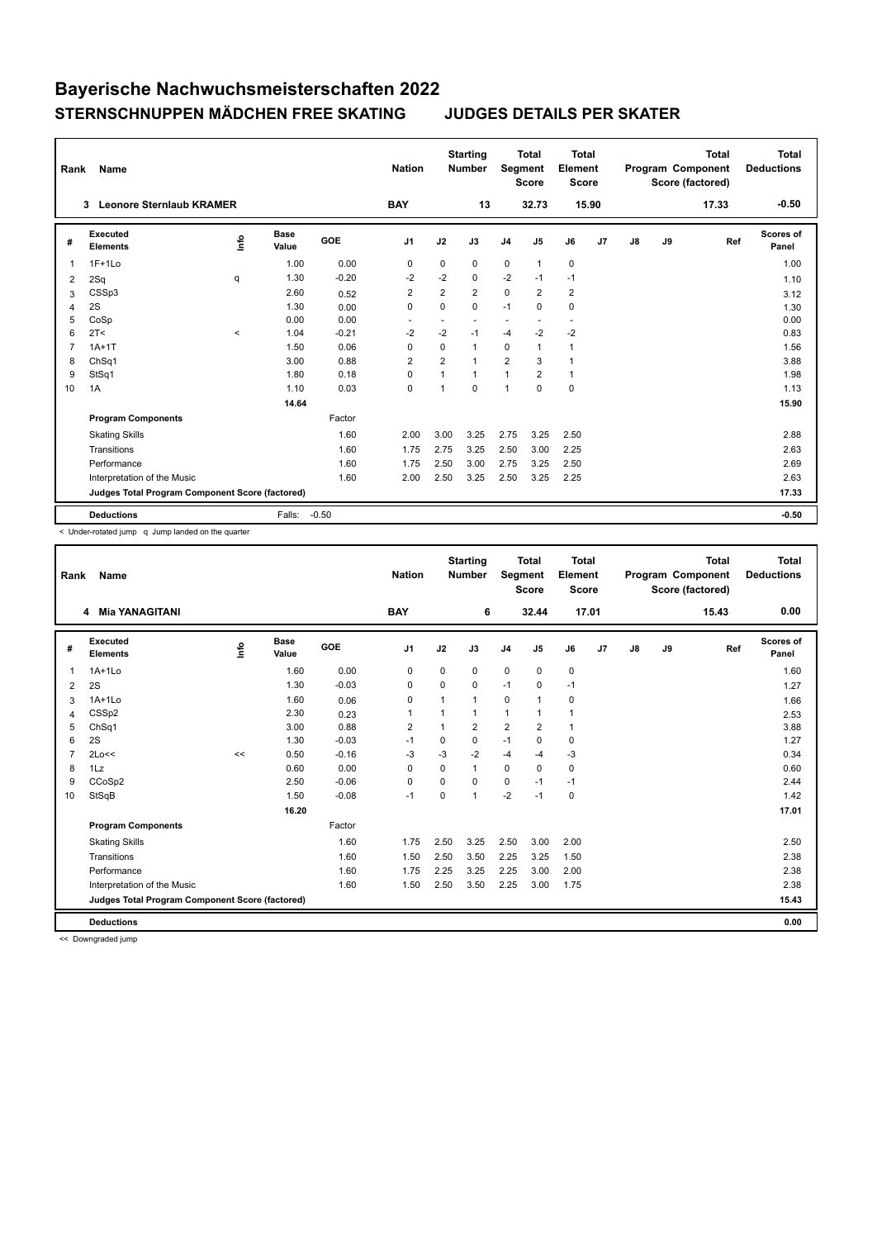| Rank           | Name                                            |         |                      |         | <b>Nation</b>  |                | <b>Starting</b><br><b>Number</b> | Segment        | <b>Total</b><br><b>Score</b> | <b>Total</b><br>Element<br><b>Score</b> |       |               |    | <b>Total</b><br>Program Component<br>Score (factored) | <b>Total</b><br><b>Deductions</b> |
|----------------|-------------------------------------------------|---------|----------------------|---------|----------------|----------------|----------------------------------|----------------|------------------------------|-----------------------------------------|-------|---------------|----|-------------------------------------------------------|-----------------------------------|
|                | <b>Leonore Sternlaub KRAMER</b><br>3            |         |                      |         | <b>BAY</b>     |                | 13                               |                | 32.73                        |                                         | 15.90 |               |    | 17.33                                                 | $-0.50$                           |
| #              | Executed<br><b>Elements</b>                     | lnfo    | <b>Base</b><br>Value | GOE     | J1             | J2             | J3                               | J <sub>4</sub> | J <sub>5</sub>               | J6                                      | J7    | $\mathsf{J}8$ | J9 | Ref                                                   | <b>Scores of</b><br>Panel         |
| 1              | $1F+1Lo$                                        |         | 1.00                 | 0.00    | 0              | 0              | 0                                | $\mathbf 0$    | $\mathbf{1}$                 | 0                                       |       |               |    |                                                       | 1.00                              |
| 2              | 2Sq                                             | q       | 1.30                 | $-0.20$ | $-2$           | $-2$           | $\Omega$                         | $-2$           | $-1$                         | $-1$                                    |       |               |    |                                                       | 1.10                              |
| 3              | CSSp3                                           |         | 2.60                 | 0.52    | $\overline{2}$ | $\overline{2}$ | $\overline{2}$                   | $\mathbf 0$    | $\overline{2}$               | $\overline{2}$                          |       |               |    |                                                       | 3.12                              |
| 4              | 2S                                              |         | 1.30                 | 0.00    | $\mathbf 0$    | 0              | 0                                | $-1$           | $\Omega$                     | 0                                       |       |               |    |                                                       | 1.30                              |
| 5              | CoSp                                            |         | 0.00                 | 0.00    |                | ٠              | $\overline{\phantom{a}}$         | ۰              |                              | $\overline{\phantom{a}}$                |       |               |    |                                                       | 0.00                              |
| 6              | 2T <                                            | $\prec$ | 1.04                 | $-0.21$ | $-2$           | $-2$           | $-1$                             | $-4$           | $-2$                         | $-2$                                    |       |               |    |                                                       | 0.83                              |
| $\overline{7}$ | $1A+1T$                                         |         | 1.50                 | 0.06    | 0              | 0              | 1                                | $\mathbf 0$    | 1                            | 1                                       |       |               |    |                                                       | 1.56                              |
| 8              | Ch <sub>Sq1</sub>                               |         | 3.00                 | 0.88    | $\overline{2}$ | $\overline{2}$ | 1                                | $\overline{2}$ | 3                            | $\mathbf{1}$                            |       |               |    |                                                       | 3.88                              |
| 9              | StSq1                                           |         | 1.80                 | 0.18    | $\mathbf 0$    | 1              | 1                                | $\mathbf{1}$   | $\overline{2}$               | $\mathbf{1}$                            |       |               |    |                                                       | 1.98                              |
| 10             | 1A                                              |         | 1.10                 | 0.03    | $\mathbf 0$    | $\overline{1}$ | $\Omega$                         | $\overline{1}$ | $\Omega$                     | 0                                       |       |               |    |                                                       | 1.13                              |
|                |                                                 |         | 14.64                |         |                |                |                                  |                |                              |                                         |       |               |    |                                                       | 15.90                             |
|                | <b>Program Components</b>                       |         |                      | Factor  |                |                |                                  |                |                              |                                         |       |               |    |                                                       |                                   |
|                | <b>Skating Skills</b>                           |         |                      | 1.60    | 2.00           | 3.00           | 3.25                             | 2.75           | 3.25                         | 2.50                                    |       |               |    |                                                       | 2.88                              |
|                | Transitions                                     |         |                      | 1.60    | 1.75           | 2.75           | 3.25                             | 2.50           | 3.00                         | 2.25                                    |       |               |    |                                                       | 2.63                              |
|                | Performance                                     |         |                      | 1.60    | 1.75           | 2.50           | 3.00                             | 2.75           | 3.25                         | 2.50                                    |       |               |    |                                                       | 2.69                              |
|                | Interpretation of the Music                     |         |                      | 1.60    | 2.00           | 2.50           | 3.25                             | 2.50           | 3.25                         | 2.25                                    |       |               |    |                                                       | 2.63                              |
|                | Judges Total Program Component Score (factored) |         |                      |         |                |                |                                  |                |                              |                                         |       |               |    |                                                       | 17.33                             |
|                | <b>Deductions</b>                               |         | Falls:               | $-0.50$ |                |                |                                  |                |                              |                                         |       |               |    |                                                       | $-0.50$                           |

< Under-rotated jump q Jump landed on the quarter

| Rank           | Name                                            |      |               |         | <b>Nation</b>  |          | <b>Starting</b><br><b>Number</b> | Segment        | <b>Total</b><br><b>Score</b> | Total<br>Element<br><b>Score</b> |    |               |    | <b>Total</b><br>Program Component<br>Score (factored) | Total<br><b>Deductions</b> |
|----------------|-------------------------------------------------|------|---------------|---------|----------------|----------|----------------------------------|----------------|------------------------------|----------------------------------|----|---------------|----|-------------------------------------------------------|----------------------------|
|                | <b>Mia YANAGITANI</b><br>4                      |      |               |         | <b>BAY</b>     |          | 6                                |                | 32.44                        | 17.01                            |    |               |    | 15.43                                                 | 0.00                       |
| #              | Executed<br><b>Elements</b>                     | Info | Base<br>Value | GOE     | J1             | J2       | J3                               | J <sub>4</sub> | J5                           | J6                               | J7 | $\mathsf{J}8$ | J9 | Ref                                                   | Scores of<br>Panel         |
| $\overline{1}$ | $1A+1Lo$                                        |      | 1.60          | 0.00    | $\mathbf 0$    | $\Omega$ | 0                                | $\mathbf 0$    | $\mathbf 0$                  | $\pmb{0}$                        |    |               |    |                                                       | 1.60                       |
| 2              | 2S                                              |      | 1.30          | $-0.03$ | $\mathbf 0$    | $\Omega$ | 0                                | $-1$           | $\mathbf 0$                  | $-1$                             |    |               |    |                                                       | 1.27                       |
| 3              | $1A+1Lo$                                        |      | 1.60          | 0.06    | 0              |          | $\mathbf{1}$                     | $\mathbf 0$    | 1                            | 0                                |    |               |    |                                                       | 1.66                       |
| 4              | CSS <sub>p2</sub>                               |      | 2.30          | 0.23    | 1              |          | $\mathbf{1}$                     | $\mathbf{1}$   | 1                            | $\mathbf{1}$                     |    |               |    |                                                       | 2.53                       |
| 5              | ChSq1                                           |      | 3.00          | 0.88    | $\overline{2}$ |          | $\overline{2}$                   | $\overline{2}$ | $\overline{2}$               | $\mathbf{1}$                     |    |               |    |                                                       | 3.88                       |
| 6              | 2S                                              |      | 1.30          | $-0.03$ | $-1$           | 0        | 0                                | $-1$           | $\Omega$                     | $\mathbf 0$                      |    |               |    |                                                       | 1.27                       |
| $\overline{7}$ | 2Lo<<                                           | <<   | 0.50          | $-0.16$ | $-3$           | $-3$     | $-2$                             | $-4$           | $-4$                         | $-3$                             |    |               |    |                                                       | 0.34                       |
| 8              | 1Lz                                             |      | 0.60          | 0.00    | 0              | $\Omega$ | $\mathbf{1}$                     | $\mathbf 0$    | $\mathbf 0$                  | $\mathbf 0$                      |    |               |    |                                                       | 0.60                       |
| 9              | CCoSp2                                          |      | 2.50          | $-0.06$ | 0              | $\Omega$ | $\Omega$                         | $\mathbf 0$    | $-1$                         | $-1$                             |    |               |    |                                                       | 2.44                       |
| 10             | StSqB                                           |      | 1.50          | $-0.08$ | $-1$           | 0        | $\mathbf{1}$                     | $-2$           | $-1$                         | $\mathbf 0$                      |    |               |    |                                                       | 1.42                       |
|                |                                                 |      | 16.20         |         |                |          |                                  |                |                              |                                  |    |               |    |                                                       | 17.01                      |
|                | <b>Program Components</b>                       |      |               | Factor  |                |          |                                  |                |                              |                                  |    |               |    |                                                       |                            |
|                | <b>Skating Skills</b>                           |      |               | 1.60    | 1.75           | 2.50     | 3.25                             | 2.50           | 3.00                         | 2.00                             |    |               |    |                                                       | 2.50                       |
|                | Transitions                                     |      |               | 1.60    | 1.50           | 2.50     | 3.50                             | 2.25           | 3.25                         | 1.50                             |    |               |    |                                                       | 2.38                       |
|                | Performance                                     |      |               | 1.60    | 1.75           | 2.25     | 3.25                             | 2.25           | 3.00                         | 2.00                             |    |               |    |                                                       | 2.38                       |
|                | Interpretation of the Music                     |      |               | 1.60    | 1.50           | 2.50     | 3.50                             | 2.25           | 3.00                         | 1.75                             |    |               |    |                                                       | 2.38                       |
|                | Judges Total Program Component Score (factored) |      |               |         |                |          |                                  |                |                              |                                  |    |               |    |                                                       | 15.43                      |
|                | <b>Deductions</b>                               |      |               |         |                |          |                                  |                |                              |                                  |    |               |    |                                                       | 0.00                       |

<< Downgraded jump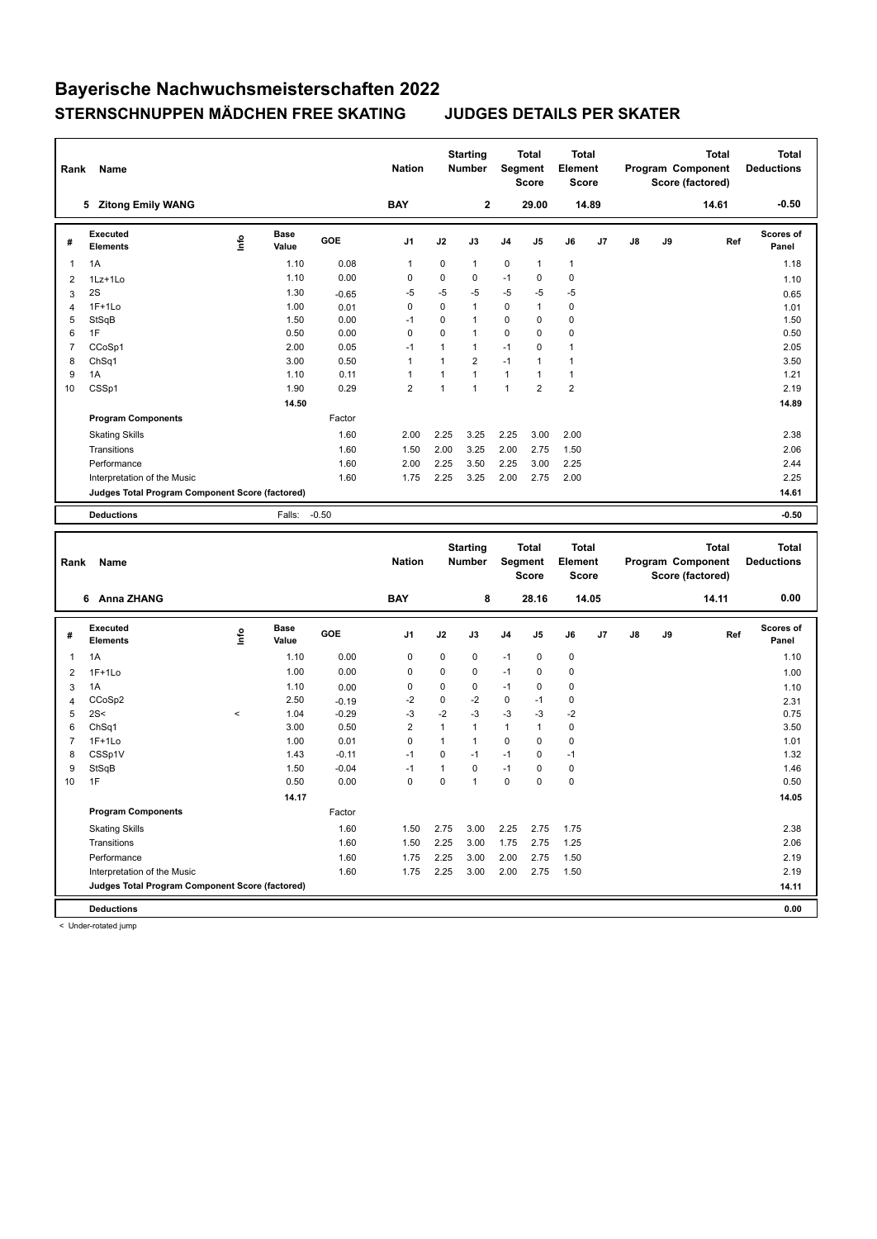| Rank           | Name                                            |                          |                      |            | <b>Nation</b>       |                             | <b>Starting</b><br>Number |              | <b>Total</b><br>Segment<br><b>Score</b> | <b>Total</b><br>Element<br><b>Score</b> |       |    |    | Program Component<br>Score (factored) | <b>Total</b> | <b>Total</b><br><b>Deductions</b> |
|----------------|-------------------------------------------------|--------------------------|----------------------|------------|---------------------|-----------------------------|---------------------------|--------------|-----------------------------------------|-----------------------------------------|-------|----|----|---------------------------------------|--------------|-----------------------------------|
|                | 5 Zitong Emily WANG                             |                          |                      |            | <b>BAY</b>          |                             | $\bf 2$                   |              | 29.00                                   |                                         | 14.89 |    |    |                                       | 14.61        | $-0.50$                           |
| #              | <b>Executed</b><br><b>Elements</b>              | lnfo                     | <b>Base</b><br>Value | <b>GOE</b> | J1                  | J2                          | J3                        | J4           | J5                                      | J6                                      | J7    | J8 | J9 |                                       | Ref          | Scores of<br>Panel                |
| 1              | 1A                                              |                          | 1.10                 | 0.08       | $\mathbf{1}$        | $\pmb{0}$                   | $\mathbf{1}$              | 0            | 1                                       | $\mathbf{1}$                            |       |    |    |                                       |              | 1.18                              |
| 2              | 1Lz+1Lo                                         |                          | 1.10                 | 0.00       | 0                   | $\mathbf 0$                 | 0                         | $-1$         | 0                                       | $\mathbf 0$                             |       |    |    |                                       |              | 1.10                              |
| 3              | 2S                                              |                          | 1.30                 | $-0.65$    | $-5$                | -5                          | $-5$                      | $-5$         | $-5$                                    | $-5$                                    |       |    |    |                                       |              | 0.65                              |
| $\overline{4}$ | $1F+1Lo$                                        |                          | 1.00                 | 0.01       | $\mathbf 0$         | $\mathbf 0$                 | 1                         | $\mathbf 0$  | 1                                       | $\mathbf 0$                             |       |    |    |                                       |              | 1.01                              |
| 5              | StSqB                                           |                          | 1.50                 | 0.00       | $-1$                | 0                           | 1                         | $\mathbf 0$  | 0                                       | $\mathbf 0$                             |       |    |    |                                       |              | 1.50                              |
| 6              | 1F                                              |                          | 0.50                 | 0.00       | $\mathbf 0$         | $\mathbf 0$                 | $\mathbf{1}$              | $\mathbf 0$  | 0                                       | $\mathbf 0$                             |       |    |    |                                       |              | 0.50                              |
| $\overline{7}$ | CCoSp1                                          |                          | 2.00                 | 0.05       | $-1$                | 1                           | $\mathbf{1}$              | $-1$         | 0                                       | $\mathbf{1}$                            |       |    |    |                                       |              | 2.05                              |
| 8              | ChSq1                                           |                          | 3.00                 | 0.50       | $\mathbf{1}$        | $\mathbf{1}$                | $\overline{2}$            | $-1$         | 1                                       | $\mathbf{1}$                            |       |    |    |                                       |              | 3.50                              |
| 9              | 1A                                              |                          | 1.10                 | 0.11       | $\mathbf{1}$        | $\mathbf{1}$                | $\mathbf{1}$              | $\mathbf{1}$ | 1                                       | $\mathbf{1}$                            |       |    |    |                                       |              | 1.21                              |
| 10             | CSSp1                                           |                          | 1.90                 | 0.29       | 2                   | $\mathbf{1}$                | $\mathbf{1}$              | $\mathbf{1}$ | $\overline{2}$                          | $\overline{2}$                          |       |    |    |                                       |              | 2.19                              |
|                |                                                 |                          | 14.50                |            |                     |                             |                           |              |                                         |                                         |       |    |    |                                       |              | 14.89                             |
|                | <b>Program Components</b>                       |                          |                      | Factor     |                     |                             |                           |              |                                         |                                         |       |    |    |                                       |              |                                   |
|                | <b>Skating Skills</b>                           |                          |                      | 1.60       | 2.00                | 2.25                        | 3.25                      | 2.25         | 3.00                                    | 2.00                                    |       |    |    |                                       |              | 2.38                              |
|                | Transitions                                     |                          |                      | 1.60       | 1.50                | 2.00                        | 3.25                      | 2.00         | 2.75                                    | 1.50                                    |       |    |    |                                       |              | 2.06                              |
|                | Performance                                     |                          |                      | 1.60       | 2.00                | 2.25                        | 3.50                      | 2.25         | 3.00                                    | 2.25                                    |       |    |    |                                       |              | 2.44                              |
|                | Interpretation of the Music                     |                          |                      | 1.60       | 1.75                | 2.25                        | 3.25                      | 2.00         | 2.75                                    | 2.00                                    |       |    |    |                                       |              | 2.25                              |
|                | Judges Total Program Component Score (factored) |                          |                      |            |                     |                             |                           |              |                                         |                                         |       |    |    |                                       |              | 14.61                             |
|                | <b>Deductions</b>                               |                          | Falls: -0.50         |            |                     |                             |                           |              |                                         |                                         |       |    |    |                                       |              | $-0.50$                           |
|                |                                                 |                          |                      |            |                     |                             |                           |              |                                         |                                         |       |    |    |                                       |              |                                   |
|                |                                                 |                          |                      |            |                     |                             |                           |              |                                         |                                         |       |    |    |                                       |              |                                   |
|                |                                                 |                          |                      |            |                     |                             | <b>Starting</b>           |              | <b>Total</b>                            | <b>Total</b>                            |       |    |    |                                       | <b>Total</b> | <b>Total</b>                      |
| Rank           | Name                                            |                          |                      |            | <b>Nation</b>       |                             | <b>Number</b>             |              | Segment                                 | Element                                 |       |    |    | Program Component                     |              | <b>Deductions</b>                 |
|                |                                                 |                          |                      |            |                     |                             |                           |              | <b>Score</b>                            | <b>Score</b>                            |       |    |    | Score (factored)                      |              |                                   |
|                | 6 Anna ZHANG                                    |                          |                      |            | <b>BAY</b>          |                             | 8                         |              | 28.16                                   |                                         | 14.05 |    |    |                                       | 14.11        | 0.00                              |
| #              | <b>Executed</b>                                 |                          | Base                 | GOE        | J1                  | J2                          | J3                        | J4           | J5                                      | J6                                      | J7    | J8 | J9 |                                       | Ref          | Scores of                         |
|                | <b>Elements</b>                                 | lnfo                     | Value                |            |                     |                             |                           |              |                                         |                                         |       |    |    |                                       |              | Panel                             |
| 1              | 1A                                              |                          | 1.10                 | 0.00       | 0                   | $\mathbf 0$                 | 0                         | $-1$         | 0                                       | $\pmb{0}$                               |       |    |    |                                       |              | 1.10                              |
| $\overline{2}$ | $1F+1Lo$                                        |                          | 1.00                 | 0.00       | $\mathbf 0$         | $\mathbf 0$                 | 0                         | $-1$         | 0                                       | $\mathbf 0$                             |       |    |    |                                       |              | 1.00                              |
| 3              | 1A                                              |                          | 1.10                 | 0.00       | 0                   | 0                           | 0                         | $-1$         | 0                                       | $\mathbf 0$                             |       |    |    |                                       |              | 1.10                              |
| $\overline{4}$ | CCoSp2                                          |                          | 2.50                 | $-0.19$    | $-2$                | $\mathbf 0$                 | $-2$                      | $\mathbf 0$  | $-1$                                    | $\mathbf 0$                             |       |    |    |                                       |              | 2.31                              |
| 5              | 2S<                                             | $\overline{\phantom{a}}$ | 1.04                 | $-0.29$    | $-3$                | $-2$                        | $-3$                      | $-3$         | $-3$                                    | $-2$                                    |       |    |    |                                       |              | 0.75                              |
| 6              | Ch <sub>Sq1</sub>                               |                          | 3.00                 | 0.50       | $\overline{2}$      | $\mathbf{1}$                | 1                         | $\mathbf{1}$ | 1                                       | $\pmb{0}$                               |       |    |    |                                       |              | 3.50                              |
| 7              | $1F+1Lo$                                        |                          | 1.00                 | 0.01       | 0                   | $\mathbf{1}$                | $\mathbf{1}$              | 0            | 0                                       | $\pmb{0}$                               |       |    |    |                                       |              | 1.01                              |
| 8              | CSSp1V                                          |                          | 1.43                 | $-0.11$    | $-1$                | $\mathbf 0$                 | $-1$                      | $-1$         | 0                                       | $-1$                                    |       |    |    |                                       |              | 1.32                              |
| 9              | StSqB                                           |                          | 1.50                 | $-0.04$    | $-1$<br>$\mathbf 0$ | $\mathbf{1}$<br>$\mathbf 0$ | 0<br>$\mathbf{1}$         | $-1$         | 0<br>0                                  | $\mathbf 0$                             |       |    |    |                                       |              | 1.46                              |
| 10             | 1F                                              |                          | 0.50                 | 0.00       |                     |                             |                           | 0            |                                         | $\mathbf 0$                             |       |    |    |                                       |              | 0.50                              |
|                |                                                 |                          | 14.17                |            |                     |                             |                           |              |                                         |                                         |       |    |    |                                       |              | 14.05                             |
|                | <b>Program Components</b>                       |                          |                      | Factor     |                     |                             |                           |              |                                         |                                         |       |    |    |                                       |              |                                   |
|                | <b>Skating Skills</b>                           |                          |                      | 1.60       | 1.50                | 2.75                        | 3.00                      | 2.25         | 2.75                                    | 1.75                                    |       |    |    |                                       |              | 2.38                              |
|                | Transitions                                     |                          |                      | 1.60       | 1.50                | 2.25                        | 3.00                      | 1.75         | 2.75                                    | 1.25                                    |       |    |    |                                       |              | 2.06                              |
|                | Performance                                     |                          |                      | 1.60       | 1.75                | 2.25                        | 3.00                      | 2.00         | 2.75                                    | 1.50                                    |       |    |    |                                       |              | 2.19                              |
|                | Interpretation of the Music                     |                          |                      | 1.60       | 1.75                | 2.25                        | 3.00                      | 2.00         | 2.75                                    | 1.50                                    |       |    |    |                                       |              | 2.19                              |
|                | Judges Total Program Component Score (factored) |                          |                      |            |                     |                             |                           |              |                                         |                                         |       |    |    |                                       |              | 14.11                             |

< Under-rotated jump